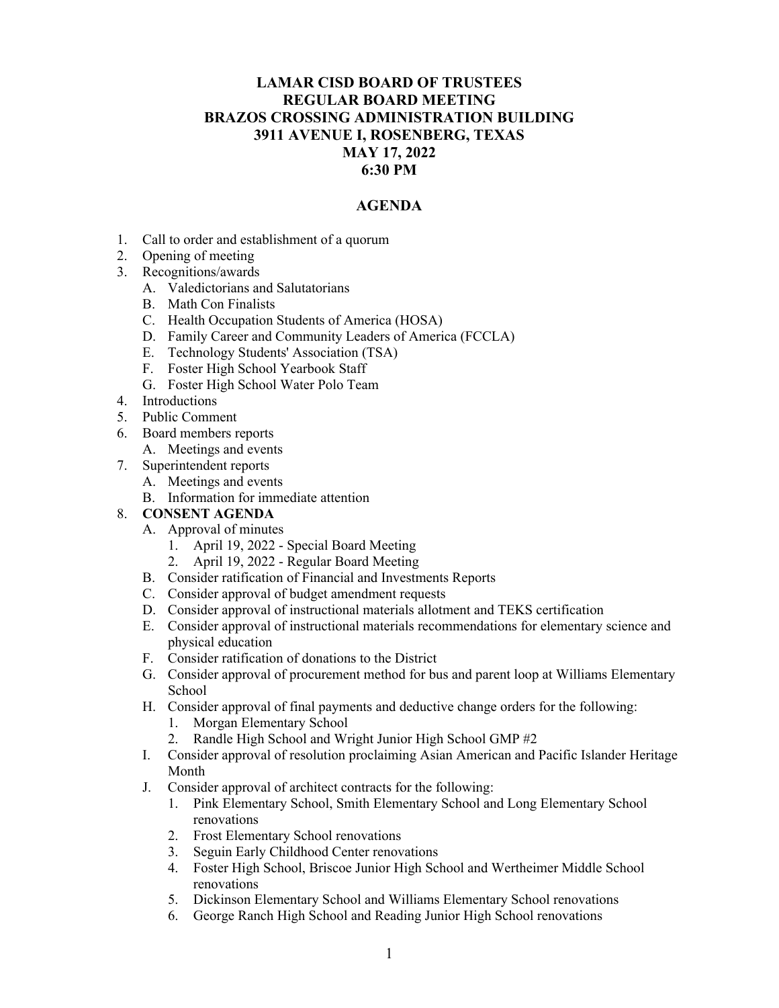## **LAMAR CISD BOARD OF TRUSTEES REGULAR BOARD MEETING BRAZOS CROSSING ADMINISTRATION BUILDING 3911 AVENUE I, ROSENBERG, TEXAS MAY 17, 2022 6:30 PM**

## **AGENDA**

- 1. Call to order and establishment of a quorum
- 2. Opening of meeting
- 3. Recognitions/awards
	- A. Valedictorians and Salutatorians
	- B. Math Con Finalists
	- C. Health Occupation Students of America (HOSA)
	- D. Family Career and Community Leaders of America (FCCLA)
	- E. Technology Students' Association (TSA)
	- F. Foster High School Yearbook Staff
	- G. Foster High School Water Polo Team
- 4. Introductions
- 5. Public Comment
- 6. Board members reports
	- A. Meetings and events
- 7. Superintendent reports
	- A. Meetings and events
	- B. Information for immediate attention

### 8. **CONSENT AGENDA**

- A. Approval of minutes
	- 1. April 19, 2022 Special Board Meeting
	- 2. April 19, 2022 Regular Board Meeting
- B. Consider ratification of Financial and Investments Reports
- C. Consider approval of budget amendment requests
- D. Consider approval of instructional materials allotment and TEKS certification
- E. Consider approval of instructional materials recommendations for elementary science and physical education
- F. Consider ratification of donations to the District
- G. Consider approval of procurement method for bus and parent loop at Williams Elementary School
- H. Consider approval of final payments and deductive change orders for the following:
	- 1. Morgan Elementary School
	- 2. Randle High School and Wright Junior High School GMP #2
- I. Consider approval of resolution proclaiming Asian American and Pacific Islander Heritage Month
- J. Consider approval of architect contracts for the following:
	- 1. Pink Elementary School, Smith Elementary School and Long Elementary School renovations
	- 2. Frost Elementary School renovations
	- 3. Seguin Early Childhood Center renovations
	- 4. Foster High School, Briscoe Junior High School and Wertheimer Middle School renovations
	- 5. Dickinson Elementary School and Williams Elementary School renovations
	- 6. George Ranch High School and Reading Junior High School renovations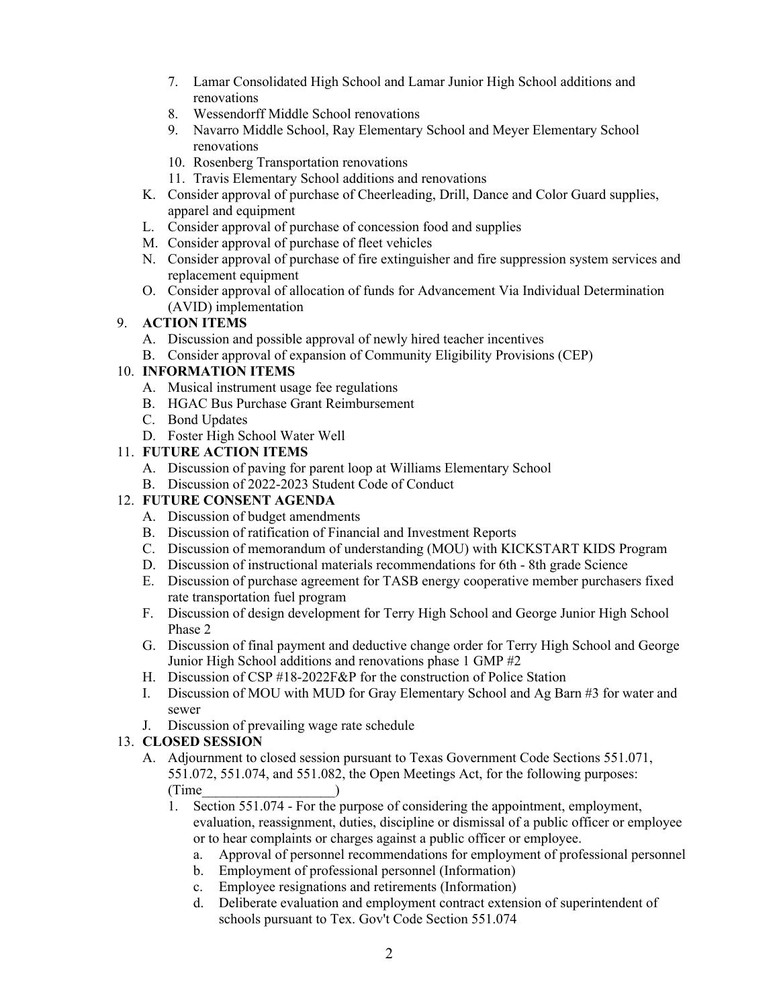- 7. Lamar Consolidated High School and Lamar Junior High School additions and renovations
- 8. Wessendorff Middle School renovations
- 9. Navarro Middle School, Ray Elementary School and Meyer Elementary School renovations
- 10. Rosenberg Transportation renovations
- 11. Travis Elementary School additions and renovations
- K. Consider approval of purchase of Cheerleading, Drill, Dance and Color Guard supplies, apparel and equipment
- L. Consider approval of purchase of concession food and supplies
- M. Consider approval of purchase of fleet vehicles
- N. Consider approval of purchase of fire extinguisher and fire suppression system services and replacement equipment
- O. Consider approval of allocation of funds for Advancement Via Individual Determination (AVID) implementation

# 9. **ACTION ITEMS**

- A. Discussion and possible approval of newly hired teacher incentives
- B. Consider approval of expansion of Community Eligibility Provisions (CEP)

## 10. **INFORMATION ITEMS**

- A. Musical instrument usage fee regulations
- B. HGAC Bus Purchase Grant Reimbursement
- C. Bond Updates
- D. Foster High School Water Well

# 11. **FUTURE ACTION ITEMS**

- A. Discussion of paving for parent loop at Williams Elementary School
- B. Discussion of 2022-2023 Student Code of Conduct

## 12. **FUTURE CONSENT AGENDA**

- A. Discussion of budget amendments
- B. Discussion of ratification of Financial and Investment Reports
- C. Discussion of memorandum of understanding (MOU) with KICKSTART KIDS Program
- D. Discussion of instructional materials recommendations for 6th 8th grade Science
- E. Discussion of purchase agreement for TASB energy cooperative member purchasers fixed rate transportation fuel program
- F. Discussion of design development for Terry High School and George Junior High School Phase 2
- G. Discussion of final payment and deductive change order for Terry High School and George Junior High School additions and renovations phase 1 GMP #2
- H. Discussion of CSP #18-2022F&P for the construction of Police Station
- I. Discussion of MOU with MUD for Gray Elementary School and Ag Barn #3 for water and sewer
- J. Discussion of prevailing wage rate schedule

# 13. **CLOSED SESSION**

- A. Adjournment to closed session pursuant to Texas Government Code Sections 551.071, 551.072, 551.074, and 551.082, the Open Meetings Act, for the following purposes:  $(Time$ 
	- 1. Section 551.074 For the purpose of considering the appointment, employment, evaluation, reassignment, duties, discipline or dismissal of a public officer or employee or to hear complaints or charges against a public officer or employee.
		- a. Approval of personnel recommendations for employment of professional personnel
		- b. Employment of professional personnel (Information)
		- c. Employee resignations and retirements (Information)
		- d. Deliberate evaluation and employment contract extension of superintendent of schools pursuant to Tex. Gov't Code Section 551.074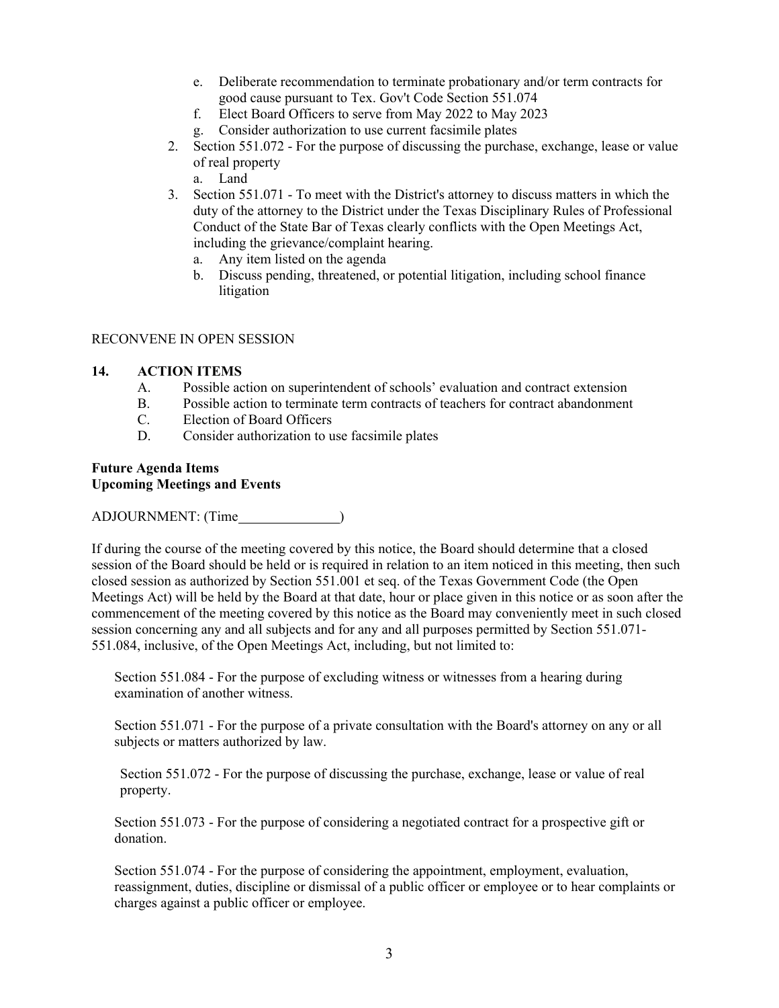- e. Deliberate recommendation to terminate probationary and/or term contracts for good cause pursuant to Tex. Gov't Code Section 551.074
- f. Elect Board Officers to serve from May 2022 to May 2023
- g. Consider authorization to use current facsimile plates
- 2. Section 551.072 For the purpose of discussing the purchase, exchange, lease or value of real property
	- a. Land
- 3. Section 551.071 To meet with the District's attorney to discuss matters in which the duty of the attorney to the District under the Texas Disciplinary Rules of Professional Conduct of the State Bar of Texas clearly conflicts with the Open Meetings Act, including the grievance/complaint hearing.
	- a. Any item listed on the agenda
	- b. Discuss pending, threatened, or potential litigation, including school finance litigation

#### RECONVENE IN OPEN SESSION

#### **14. ACTION ITEMS**

- A. Possible action on superintendent of schools' evaluation and contract extension
- B. Possible action to terminate term contracts of teachers for contract abandonment
- C. Election of Board Officers
- D. Consider authorization to use facsimile plates

#### **Future Agenda Items Upcoming Meetings and Events**

### ADJOURNMENT: (Time )

If during the course of the meeting covered by this notice, the Board should determine that a closed session of the Board should be held or is required in relation to an item noticed in this meeting, then such closed session as authorized by Section 551.001 et seq. of the Texas Government Code (the Open Meetings Act) will be held by the Board at that date, hour or place given in this notice or as soon after the commencement of the meeting covered by this notice as the Board may conveniently meet in such closed session concerning any and all subjects and for any and all purposes permitted by Section 551.071- 551.084, inclusive, of the Open Meetings Act, including, but not limited to:

Section 551.084 - For the purpose of excluding witness or witnesses from a hearing during examination of another witness.

Section 551.071 - For the purpose of a private consultation with the Board's attorney on any or all subjects or matters authorized by law.

Section 551.072 - For the purpose of discussing the purchase, exchange, lease or value of real property.

Section 551.073 - For the purpose of considering a negotiated contract for a prospective gift or donation.

Section 551.074 - For the purpose of considering the appointment, employment, evaluation, reassignment, duties, discipline or dismissal of a public officer or employee or to hear complaints or charges against a public officer or employee.